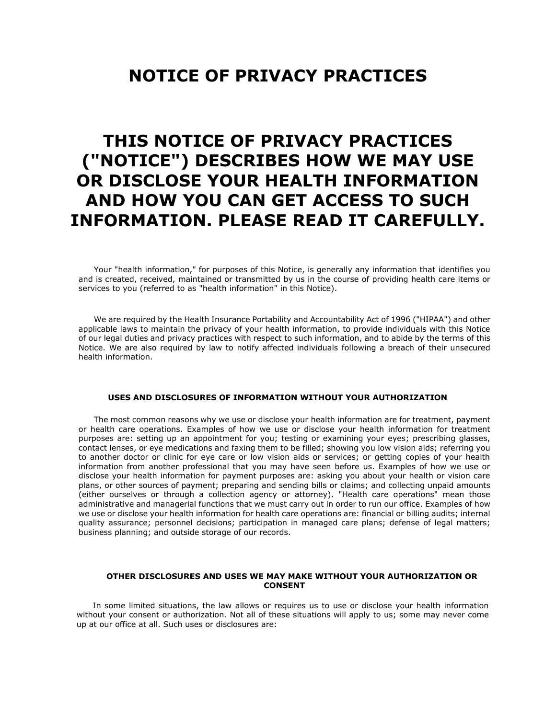# **NOTICE OF PRIVACY PRACTICES**

# **THIS NOTICE OF PRIVACY PRACTICES ("NOTICE") DESCRIBES HOW WE MAY USE OR DISCLOSE YOUR HEALTH INFORMATION AND HOW YOU CAN GET ACCESS TO SUCH INFORMATION. PLEASE READ IT CAREFULLY.**

Your "health information," for purposes of this Notice, is generally any information that identifies you and is created, received, maintained or transmitted by us in the course of providing health care items or services to you (referred to as "health information" in this Notice).

We are required by the Health Insurance Portability and Accountability Act of 1996 ("HIPAA") and other applicable laws to maintain the privacy of your health information, to provide individuals with this Notice of our legal duties and privacy practices with respect to such information, and to abide by the terms of this Notice. We are also required by law to notify affected individuals following a breach of their unsecured health information.

#### **USES AND DISCLOSURES OF INFORMATION WITHOUT YOUR AUTHORIZATION**

The most common reasons why we use or disclose your health information are for treatment, payment or health care operations. Examples of how we use or disclose your health information for treatment purposes are: setting up an appointment for you; testing or examining your eyes; prescribing glasses, contact lenses, or eye medications and faxing them to be filled; showing you low vision aids; referring you to another doctor or clinic for eye care or low vision aids or services; or getting copies of your health information from another professional that you may have seen before us. Examples of how we use or disclose your health information for payment purposes are: asking you about your health or vision care plans, or other sources of payment; preparing and sending bills or claims; and collecting unpaid amounts (either ourselves or through a collection agency or attorney). "Health care operations" mean those administrative and managerial functions that we must carry out in order to run our office. Examples of how we use or disclose your health information for health care operations are: financial or billing audits; internal quality assurance; personnel decisions; participation in managed care plans; defense of legal matters; business planning; and outside storage of our records.

#### **OTHER DISCLOSURES AND USES WE MAY MAKE WITHOUT YOUR AUTHORIZATION OR CONSENT**

In some limited situations, the law allows or requires us to use or disclose your health information without your consent or authorization. Not all of these situations will apply to us; some may never come up at our office at all. Such uses or disclosures are: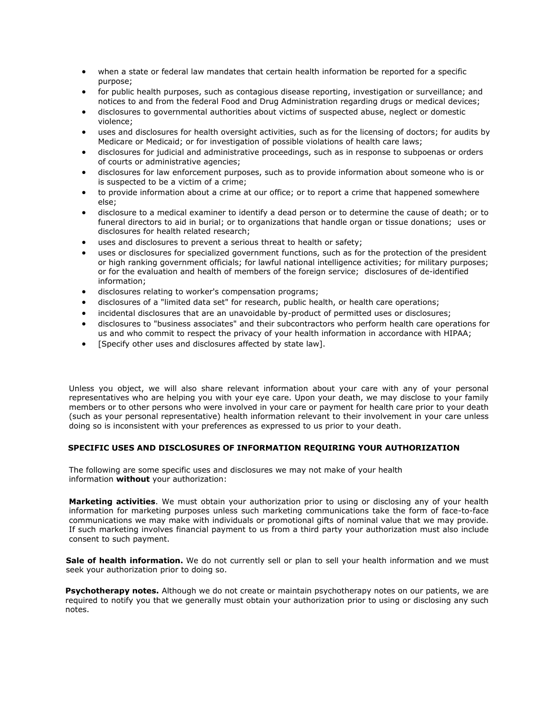- when a state or federal law mandates that certain health information be reported for a specific purpose;
- for public health purposes, such as contagious disease reporting, investigation or surveillance; and notices to and from the federal Food and Drug Administration regarding drugs or medical devices;
- disclosures to governmental authorities about victims of suspected abuse, neglect or domestic violence;
- uses and disclosures for health oversight activities, such as for the licensing of doctors; for audits by Medicare or Medicaid; or for investigation of possible violations of health care laws;
- disclosures for judicial and administrative proceedings, such as in response to subpoenas or orders of courts or administrative agencies;
- disclosures for law enforcement purposes, such as to provide information about someone who is or is suspected to be a victim of a crime;
- to provide information about a crime at our office; or to report a crime that happened somewhere else;
- disclosure to a medical examiner to identify a dead person or to determine the cause of death; or to funeral directors to aid in burial; or to organizations that handle organ or tissue donations; uses or disclosures for health related research;
- uses and disclosures to prevent a serious threat to health or safety;
- uses or disclosures for specialized government functions, such as for the protection of the president or high ranking government officials; for lawful national intelligence activities; for military purposes; or for the evaluation and health of members of the foreign service; disclosures of de-identified information;
- disclosures relating to worker's compensation programs;
- disclosures of a "limited data set" for research, public health, or health care operations;
- incidental disclosures that are an unavoidable by-product of permitted uses or disclosures;
- disclosures to "business associates" and their subcontractors who perform health care operations for us and who commit to respect the privacy of your health information in accordance with HIPAA;
- [Specify other uses and disclosures affected by state law].

Unless you object, we will also share relevant information about your care with any of your personal representatives who are helping you with your eye care. Upon your death, we may disclose to your family members or to other persons who were involved in your care or payment for health care prior to your death (such as your personal representative) health information relevant to their involvement in your care unless doing so is inconsistent with your preferences as expressed to us prior to your death.

## **SPECIFIC USES AND DISCLOSURES OF INFORMATION REQUIRING YOUR AUTHORIZATION**

The following are some specific uses and disclosures we may not make of your health information **without** your authorization:

**Marketing activities**. We must obtain your authorization prior to using or disclosing any of your health information for marketing purposes unless such marketing communications take the form of face-to-face communications we may make with individuals or promotional gifts of nominal value that we may provide. If such marketing involves financial payment to us from a third party your authorization must also include consent to such payment.

**Sale of health information.** We do not currently sell or plan to sell your health information and we must seek your authorization prior to doing so.

**Psychotherapy notes.** Although we do not create or maintain psychotherapy notes on our patients, we are required to notify you that we generally must obtain your authorization prior to using or disclosing any such notes.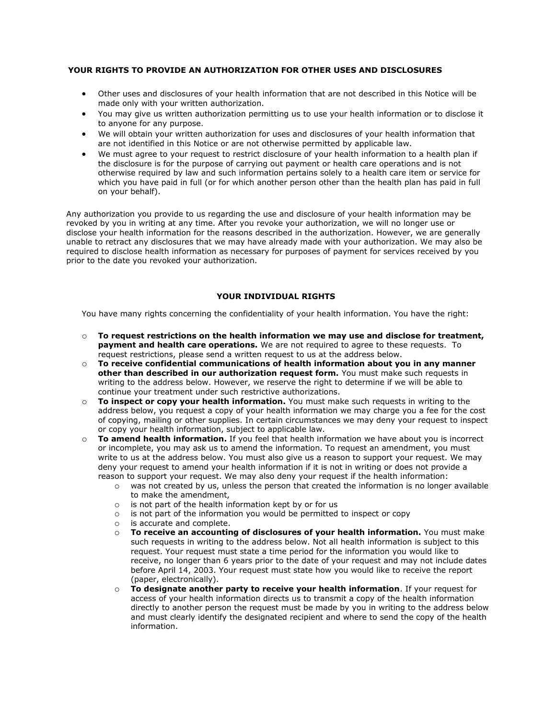### **YOUR RIGHTS TO PROVIDE AN AUTHORIZATION FOR OTHER USES AND DISCLOSURES**

- Other uses and disclosures of your health information that are not described in this Notice will be made only with your written authorization.
- You may give us written authorization permitting us to use your health information or to disclose it to anyone for any purpose.
- We will obtain your written authorization for uses and disclosures of your health information that are not identified in this Notice or are not otherwise permitted by applicable law.
- We must agree to your request to restrict disclosure of your health information to a health plan if the disclosure is for the purpose of carrying out payment or health care operations and is not otherwise required by law and such information pertains solely to a health care item or service for which you have paid in full (or for which another person other than the health plan has paid in full on your behalf).

Any authorization you provide to us regarding the use and disclosure of your health information may be revoked by you in writing at any time. After you revoke your authorization, we will no longer use or disclose your health information for the reasons described in the authorization. However, we are generally unable to retract any disclosures that we may have already made with your authorization. We may also be required to disclose health information as necessary for purposes of payment for services received by you prior to the date you revoked your authorization.

### **YOUR INDIVIDUAL RIGHTS**

You have many rights concerning the confidentiality of your health information. You have the right:

- o **To request restrictions on the health information we may use and disclose for treatment, payment and health care operations.** We are not required to agree to these requests. To request restrictions, please send a written request to us at the address below.
- o **To receive confidential communications of health information about you in any manner other than described in our authorization request form.** You must make such requests in writing to the address below. However, we reserve the right to determine if we will be able to continue your treatment under such restrictive authorizations.
- o **To inspect or copy your health information.** You must make such requests in writing to the address below, you request a copy of your health information we may charge you a fee for the cost of copying, mailing or other supplies. In certain circumstances we may deny your request to inspect or copy your health information, subject to applicable law.
- o **To amend health information.** If you feel that health information we have about you is incorrect or incomplete, you may ask us to amend the information. To request an amendment, you must write to us at the address below. You must also give us a reason to support your request. We may deny your request to amend your health information if it is not in writing or does not provide a reason to support your request. We may also deny your request if the health information:
	- o was not created by us, unless the person that created the information is no longer available to make the amendment,
	- o is not part of the health information kept by or for us
	- o is not part of the information you would be permitted to inspect or copy
	- o is accurate and complete.
	- o **To receive an accounting of disclosures of your health information.** You must make such requests in writing to the address below. Not all health information is subject to this request. Your request must state a time period for the information you would like to receive, no longer than 6 years prior to the date of your request and may not include dates before April 14, 2003. Your request must state how you would like to receive the report (paper, electronically).
	- o **To designate another party to receive your health information**. If your request for access of your health information directs us to transmit a copy of the health information directly to another person the request must be made by you in writing to the address below and must clearly identify the designated recipient and where to send the copy of the health information.